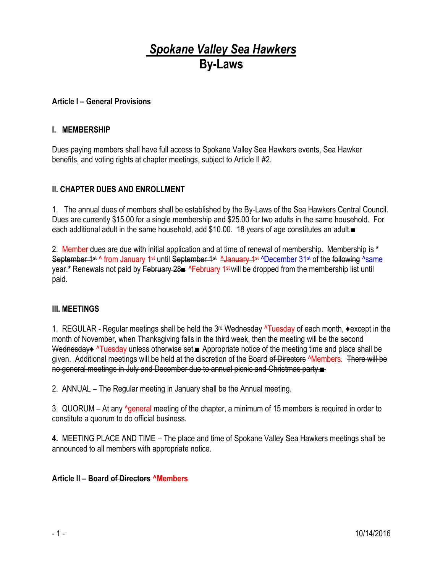# *Spokane Valley Sea Hawkers* **By-Laws**

## **Article I – General Provisions**

### **I. MEMBERSHIP**

Dues paying members shall have full access to Spokane Valley Sea Hawkers events, Sea Hawker benefits, and voting rights at chapter meetings, subject to Article II #2.

### **II. CHAPTER DUES AND ENROLLMENT**

1. The annual dues of members shall be established by the By-Laws of the Sea Hawkers Central Council. Dues are currently \$15.00 for a single membership and \$25.00 for two adults in the same household. For each additional adult in the same household, add \$10.00. 18 years of age constitutes an adult.■

2. Member dues are due with initial application and at time of renewal of membership. Membership is **\***  September 1st ^ from January 1st until September 1st AJanuary 1st ^December 31st of the following ^same year.\* Renewals not paid by <del>February 28■ ^February 1st will be dropped from the membership list until</del> paid.

#### **III. MEETINGS**

1. REGULAR - Regular meetings shall be held the 3<sup>rd</sup> Wednesday ^Tuesday of each month, ◆except in the month of November, when Thanksgiving falls in the third week, then the meeting will be the second Wednesday♦ ^Tuesday unless otherwise set.■ Appropriate notice of the meeting time and place shall be given. Additional meetings will be held at the discretion of the Board of Directors *Nembers.* There will be no general meetings in July and December due to annual picnic and Christmas party.■

2. ANNUAL – The Regular meeting in January shall be the Annual meeting.

3. QUORUM – At any <sup>A</sup>general meeting of the chapter, a minimum of 15 members is required in order to constitute a quorum to do official business.

**4.** MEETING PLACE AND TIME – The place and time of Spokane Valley Sea Hawkers meetings shall be announced to all members with appropriate notice.

## **Article II – Board of Directors ^Members**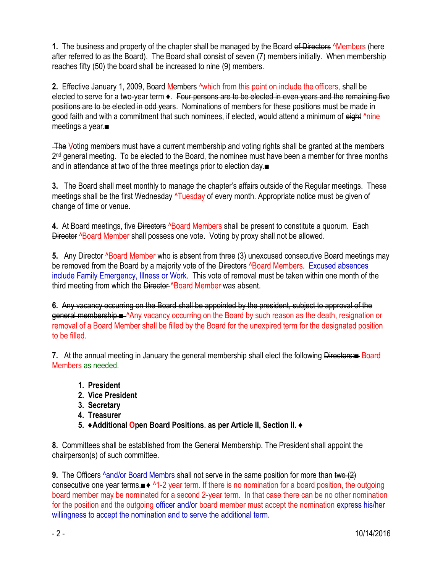**1.** The business and property of the chapter shall be managed by the Board of Directors **Allembers** (here after referred to as the Board). The Board shall consist of seven (7) members initially. When membership reaches fifty (50) the board shall be increased to nine (9) members.

**2.** Effective January 1, 2009, Board Members ^which from this point on include the officers, shall be elected to serve for a two-year term  $\bullet$ . Four persons are to be elected in even years and the remaining five positions are to be elected in odd years. Nominations of members for these positions must be made in good faith and with a commitment that such nominees, if elected, would attend a minimum of eight <sup>A</sup>nine meetings a year.■

The Voting members must have a current membership and voting rights shall be granted at the members 2<sup>nd</sup> general meeting. To be elected to the Board, the nominee must have been a member for three months and in attendance at two of the three meetings prior to election day.■

**3.** The Board shall meet monthly to manage the chapter's affairs outside of the Regular meetings. These meetings shall be the first Wednesday  $\lambda$ Tuesday of every month. Appropriate notice must be given of change of time or venue.

**4.** At Board meetings, five <del>Directors</del>  $\triangle$ Board Members shall be present to constitute a quorum. Each Director <sup>A</sup>Board Member shall possess one vote. Voting by proxy shall not be allowed.

**5.** Any Director *N***Board Member who is absent from three (3) unexcused consecutive Board meetings may** be removed from the Board by a majority vote of the Directors **^Board Members.** Excused absences include Family Emergency, Illness or Work. This vote of removal must be taken within one month of the third meeting from which the Director **^Board Member was absent.** 

**6.** Any vacancy occurring on the Board shall be appointed by the president, subject to approval of the general membership.■ <sup>^</sup>Any vacancy occurring on the Board by such reason as the death, resignation or removal of a Board Member shall be filled by the Board for the unexpired term for the designated position to be filled.

**7.** At the annual meeting in January the general membership shall elect the following Directors:■ Board Members as needed.

- **1. President**
- **2. Vice President**
- **3. Secretary**
- **4. Treasurer**
- **5. ♦Additional Open Board Positions. as per Article II, Section II. ♦**

**8.** Committees shall be established from the General Membership. The President shall appoint the chairperson(s) of such committee.

**9.** The Officers  $\triangle$ and/or Board Membrs shall not serve in the same position for more than two (2) consecutive one year terms.■♦ ^1-2 year term. If there is no nomination for a board position, the outgoing board member may be nominated for a second 2-year term. In that case there can be no other nomination for the position and the outgoing officer and/or board member must accept the nomination express his/her willingness to accept the nomination and to serve the additional term.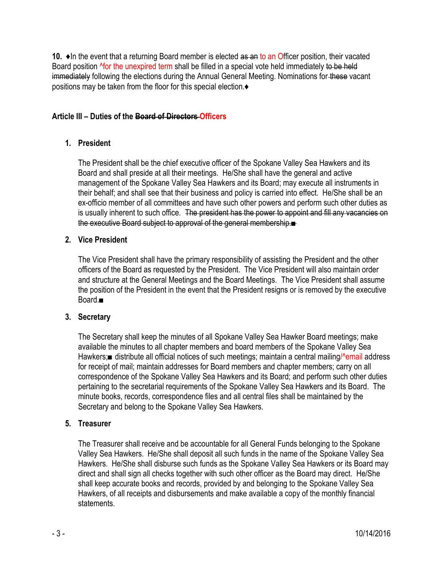**10. ♦In the event that a returning Board member is elected as an to an Officer position, their vacated** Board position <sup>N</sup>for the unexpired term shall be filled in a special vote held immediately to be held immediately following the elections during the Annual General Meeting. Nominations for these vacant positions may be taken from the floor for this special election.♦

# **Article III – Duties of the Board of Directors Officers**

# **1. President**

The President shall be the chief executive officer of the Spokane Valley Sea Hawkers and its Board and shall preside at all their meetings. He/She shall have the general and active management of the Spokane Valley Sea Hawkers and its Board; may execute all instruments in their behalf; and shall see that their business and policy is carried into effect. He/She shall be an ex-officio member of all committees and have such other powers and perform such other duties as is usually inherent to such office. The president has the power to appoint and fill any vacancies on the executive Board subject to approval of the general membership.■

# **2. Vice President**

The Vice President shall have the primary responsibility of assisting the President and the other officers of the Board as requested by the President. The Vice President will also maintain order and structure at the General Meetings and the Board Meetings. The Vice President shall assume the position of the President in the event that the President resigns or is removed by the executive Board.■

# **3. Secretary**

The Secretary shall keep the minutes of all Spokane Valley Sea Hawker Board meetings; make available the minutes to all chapter members and board members of the Spokane Valley Sea Hawkers;■ distribute all official notices of such meetings; maintain a central mailing/^email address for receipt of mail; maintain addresses for Board members and chapter members; carry on all correspondence of the Spokane Valley Sea Hawkers and its Board; and perform such other duties pertaining to the secretarial requirements of the Spokane Valley Sea Hawkers and its Board. The minute books, records, correspondence files and all central files shall be maintained by the Secretary and belong to the Spokane Valley Sea Hawkers.

# **5. Treasurer**

The Treasurer shall receive and be accountable for all General Funds belonging to the Spokane Valley Sea Hawkers. He/She shall deposit all such funds in the name of the Spokane Valley Sea Hawkers. He/She shall disburse such funds as the Spokane Valley Sea Hawkers or its Board may direct and shall sign all checks together with such other officer as the Board may direct. He/She shall keep accurate books and records, provided by and belonging to the Spokane Valley Sea Hawkers, of all receipts and disbursements and make available a copy of the monthly financial **statements**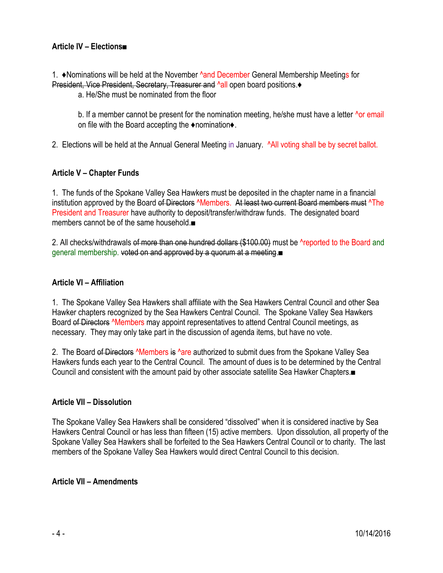# **Article IV – Elections■**

1. ♦Nominations will be held at the November ^and December General Membership Meetings for President, Vice President, Secretary, Treasurer and ^all open board positions.♦

a. He/She must be nominated from the floor

b. If a member cannot be present for the nomination meeting, he/she must have a letter  $\Delta$ or email on file with the Board accepting the ♦nomination♦.

2. Elections will be held at the Annual General Meeting in January. ^All voting shall be by secret ballot.

## **Article V – Chapter Funds**

1. The funds of the Spokane Valley Sea Hawkers must be deposited in the chapter name in a financial institution approved by the Board of Directors **^Members.** At least two current Board members must **^The** President and Treasurer have authority to deposit/transfer/withdraw funds. The designated board members cannot be of the same household.■

2. All checks/withdrawals of more than one hundred dollars (\$100.00) must be **reported to the Board** and general membership. voted on and approved by a quorum at a meeting.■

### **Article VI – Affiliation**

1. The Spokane Valley Sea Hawkers shall affiliate with the Sea Hawkers Central Council and other Sea Hawker chapters recognized by the Sea Hawkers Central Council. The Spokane Valley Sea Hawkers Board of Directors <sup>^</sup>Members may appoint representatives to attend Central Council meetings, as necessary. They may only take part in the discussion of agenda items, but have no vote.

2. The Board of Directors <sup>A</sup>Members is <sup>A</sup>are authorized to submit dues from the Spokane Valley Sea Hawkers funds each year to the Central Council. The amount of dues is to be determined by the Central Council and consistent with the amount paid by other associate satellite Sea Hawker Chapters.■

### **Article VII – Dissolution**

The Spokane Valley Sea Hawkers shall be considered "dissolved" when it is considered inactive by Sea Hawkers Central Council or has less than fifteen (15) active members. Upon dissolution, all property of the Spokane Valley Sea Hawkers shall be forfeited to the Sea Hawkers Central Council or to charity. The last members of the Spokane Valley Sea Hawkers would direct Central Council to this decision.

### **Article VII – Amendments**